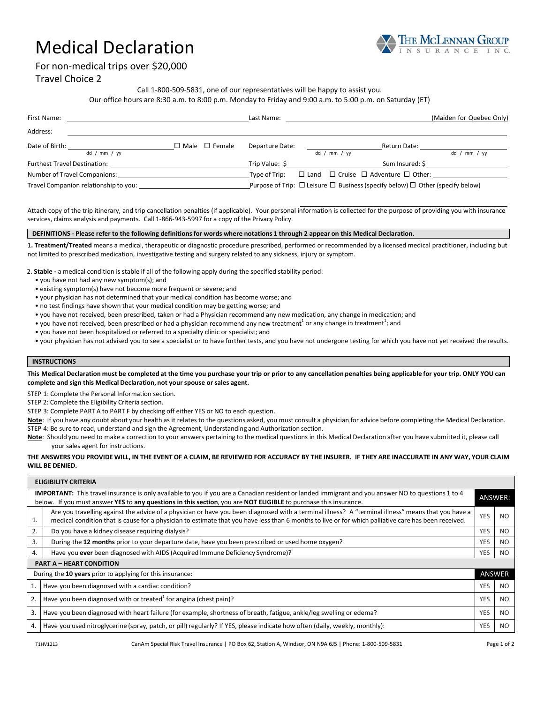# Medical Declaration



For non‐medical trips over \$20,000

## Travel Choice 2

Call 1‐800‐509‐5831, one of our representatives will be happy to assist you.

Our office hours are 8:30 a.m. to 8:00 p.m. Monday to Friday and 9:00 a.m. to 5:00 p.m. on Saturday (ET)

| First Name:                                                                                                                                                                                                                        |              |                           | Last Name:                                                                                   |  |              |                                                          | (Maiden for Quebec Only) |
|------------------------------------------------------------------------------------------------------------------------------------------------------------------------------------------------------------------------------------|--------------|---------------------------|----------------------------------------------------------------------------------------------|--|--------------|----------------------------------------------------------|--------------------------|
| Address:                                                                                                                                                                                                                           |              |                           |                                                                                              |  |              |                                                          |                          |
| Date of Birth:                                                                                                                                                                                                                     |              | $\Box$ Male $\Box$ Female | Departure Date:                                                                              |  |              | Return Date:                                             |                          |
|                                                                                                                                                                                                                                    | dd / mm / vy |                           |                                                                                              |  | dd / mm / wy |                                                          | dd / mm / vy             |
| <b>Furthest Travel Destination:</b> The account of the set of the set of the set of the set of the set of the set of the set of the set of the set of the set of the set of the set of the set of the set of the set of the set of |              |                           | Trip Value: \$                                                                               |  |              | Sum Insured: \$                                          |                          |
| Number of Travel Companions:                                                                                                                                                                                                       |              |                           | Type of Trip:                                                                                |  |              | $\Box$ Land $\Box$ Cruise $\Box$ Adventure $\Box$ Other: |                          |
| Travel Companion relationship to you:                                                                                                                                                                                              |              |                           | Purpose of Trip: $\Box$ Leisure $\Box$ Business (specify below) $\Box$ Other (specify below) |  |              |                                                          |                          |

Attach copy of the trip itinerary, and trip cancellation penalties (if applicable). Your personal information is collected for the purpose of providing you with insurance services, claims analysis and payments. Call 1‐866‐943‐5997 for a copy of the Privacy Policy.

#### DEFINITIONS - Please refer to the following definitions for words where notations 1 through 2 appear on this Medical Declaration.

1**. Treatment/Treated** means a medical, therapeutic or diagnostic procedure prescribed, performed or recommended by a licensed medical practitioner, including but not limited to prescribed medication, investigative testing and surgery related to any sickness, injury or symptom.

2. **Stable -** a medical condition is stable if all of the following apply during the specified stability period:

- you have not had any new symptom(s); and
- existing symptom(s) have not become more frequent or severe; and
- your physician has not determined that your medical condition has become worse; and
- no test findings have shown that your medical condition may be getting worse; and
- you have not received, been prescribed, taken or had a Physician recommend any new medication, any change in medication; and
- you have not received, been prescribed or had a physician recommend any new treatment<sup>1</sup> or any change in treatment<sup>1</sup>; and
	- you have not been hospitalized or referred to a specialty clinic or specialist; and
	- your physician has not advised you to see a specialist or to have further tests, and you have not undergone testing for which you have not yet received the results.

## **INSTRUCTIONS**

This Medical Declaration must be completed at the time you purchase your trip or prior to any cancellation penalties being applicable for your trip. ONLY YOU can **complete and sign this Medical Declaration, not your spouse or sales agent.**

STEP 1: Complete the Personal Information section.

STEP 2: Complete the Eligibility Criteria section.

STEP 3: Complete PART A to PART F by checking off either YES or NO to each question.

- **Note**: If you have any doubt about your health as it relates to the questions asked, you must consult a physician for advice before completing the Medical Declaration. STEP 4: Be sure to read, understand and sign the Agreement, Understanding and Authorization section.
- 
- **Note**: Should you need to make a correction to your answers pertaining to the medical questions in this Medical Declaration after you have submitted it, please call your sales agent for instructions.

#### THE ANSWERS YOU PROVIDE WILL, IN THE EVENT OF A CLAIM, BE REVIEWED FOR ACCURACY BY THE INSURER. IF THEY ARE INACCURATE IN ANY WAY, YOUR CLAIM **WILL BE DENIED.**

|                                                                                                                                                                                                                                                                               | <b>ELIGIBILITY CRITERIA</b>                                                                                                                                                                                                                                                                                 |            |        |  |  |  |  |  |
|-------------------------------------------------------------------------------------------------------------------------------------------------------------------------------------------------------------------------------------------------------------------------------|-------------------------------------------------------------------------------------------------------------------------------------------------------------------------------------------------------------------------------------------------------------------------------------------------------------|------------|--------|--|--|--|--|--|
| <b>IMPORTANT:</b> This travel insurance is only available to you if you are a Canadian resident or landed immigrant and you answer NO to questions 1 to 4<br>below. If you must answer YES to any questions in this section, you are NOT ELIGIBLE to purchase this insurance. |                                                                                                                                                                                                                                                                                                             |            |        |  |  |  |  |  |
| 1.                                                                                                                                                                                                                                                                            | Are you travelling against the advice of a physician or have you been diagnosed with a terminal illness? A "terminal illness" means that you have a<br>medical condition that is cause for a physician to estimate that you have less than 6 months to live or for which palliative care has been received. |            | NO.    |  |  |  |  |  |
| 2.                                                                                                                                                                                                                                                                            | Do you have a kidney disease requiring dialysis?                                                                                                                                                                                                                                                            |            |        |  |  |  |  |  |
| 3.                                                                                                                                                                                                                                                                            | During the 12 months prior to your departure date, have you been prescribed or used home oxygen?                                                                                                                                                                                                            |            |        |  |  |  |  |  |
| 4.                                                                                                                                                                                                                                                                            | Have you ever been diagnosed with AIDS (Acquired Immune Deficiency Syndrome)?                                                                                                                                                                                                                               | <b>YES</b> | NO.    |  |  |  |  |  |
| <b>PART A - HEART CONDITION</b>                                                                                                                                                                                                                                               |                                                                                                                                                                                                                                                                                                             |            |        |  |  |  |  |  |
| During the 10 years prior to applying for this insurance:                                                                                                                                                                                                                     |                                                                                                                                                                                                                                                                                                             |            | ANSWER |  |  |  |  |  |
|                                                                                                                                                                                                                                                                               | Have you been diagnosed with a cardiac condition?                                                                                                                                                                                                                                                           |            | NO.    |  |  |  |  |  |
| 2.                                                                                                                                                                                                                                                                            | Have you been diagnosed with or treated <sup>1</sup> for angina (chest pain)?                                                                                                                                                                                                                               |            | NO.    |  |  |  |  |  |
| 3.                                                                                                                                                                                                                                                                            | Have you been diagnosed with heart failure (for example, shortness of breath, fatigue, ankle/leg swelling or edema?                                                                                                                                                                                         |            | NO.    |  |  |  |  |  |
| 4.                                                                                                                                                                                                                                                                            | Have you used nitroglycerine (spray, patch, or pill) regularly? If YES, please indicate how often (daily, weekly, monthly):                                                                                                                                                                                 | <b>YES</b> | NO.    |  |  |  |  |  |